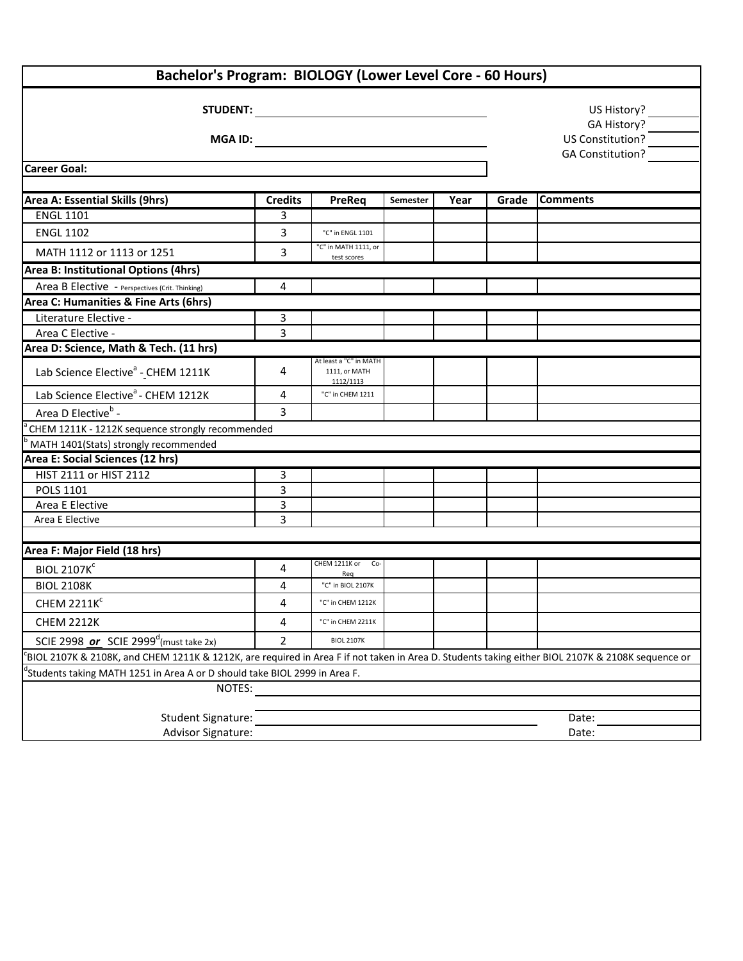| Bachelor's Program: BIOLOGY (Lower Level Core - 60 Hours)                                                                                        |                |                                                      |          |      |       |                  |  |  |  |  |
|--------------------------------------------------------------------------------------------------------------------------------------------------|----------------|------------------------------------------------------|----------|------|-------|------------------|--|--|--|--|
| <b>STUDENT:</b>                                                                                                                                  |                |                                                      |          |      |       | US History?      |  |  |  |  |
| <b>MGA ID:</b>                                                                                                                                   |                |                                                      |          |      |       | GA History?      |  |  |  |  |
|                                                                                                                                                  |                |                                                      |          |      |       | US Constitution? |  |  |  |  |
|                                                                                                                                                  |                | <b>GA Constitution?</b>                              |          |      |       |                  |  |  |  |  |
| <b>Career Goal:</b>                                                                                                                              |                |                                                      |          |      |       |                  |  |  |  |  |
| Area A: Essential Skills (9hrs)                                                                                                                  | <b>Credits</b> | PreReq                                               | Semester | Year | Grade | <b>Comments</b>  |  |  |  |  |
| <b>ENGL 1101</b>                                                                                                                                 | 3              |                                                      |          |      |       |                  |  |  |  |  |
| <b>ENGL 1102</b>                                                                                                                                 | 3              | "C" in ENGL 1101                                     |          |      |       |                  |  |  |  |  |
| MATH 1112 or 1113 or 1251                                                                                                                        | 3              | "C" in MATH 1111, or                                 |          |      |       |                  |  |  |  |  |
| test scores<br>Area B: Institutional Options (4hrs)                                                                                              |                |                                                      |          |      |       |                  |  |  |  |  |
| Area B Elective - Perspectives (Crit. Thinking)                                                                                                  | $\overline{4}$ |                                                      |          |      |       |                  |  |  |  |  |
| Area C: Humanities & Fine Arts (6hrs)                                                                                                            |                |                                                      |          |      |       |                  |  |  |  |  |
| Literature Elective -                                                                                                                            | 3              |                                                      |          |      |       |                  |  |  |  |  |
| Area C Elective -                                                                                                                                | 3              |                                                      |          |      |       |                  |  |  |  |  |
| Area D: Science, Math & Tech. (11 hrs)                                                                                                           |                |                                                      |          |      |       |                  |  |  |  |  |
| Lab Science Elective <sup>ª</sup> - CHEM 1211K                                                                                                   | 4              | At least a "C" in MATH<br>1111, or MATH<br>1112/1113 |          |      |       |                  |  |  |  |  |
| Lab Science Elective <sup>a</sup> - CHEM 1212K                                                                                                   | 4              | "C" in CHEM 1211                                     |          |      |       |                  |  |  |  |  |
| Area D Elective <sup>b</sup> -                                                                                                                   | 3              |                                                      |          |      |       |                  |  |  |  |  |
| CHEM 1211K - 1212K sequence strongly recommended                                                                                                 |                |                                                      |          |      |       |                  |  |  |  |  |
| MATH 1401(Stats) strongly recommended                                                                                                            |                |                                                      |          |      |       |                  |  |  |  |  |
| Area E: Social Sciences (12 hrs)                                                                                                                 |                |                                                      |          |      |       |                  |  |  |  |  |
| HIST 2111 or HIST 2112                                                                                                                           | 3              |                                                      |          |      |       |                  |  |  |  |  |
| POLS 1101                                                                                                                                        | 3              |                                                      |          |      |       |                  |  |  |  |  |
| Area E Elective                                                                                                                                  | 3              |                                                      |          |      |       |                  |  |  |  |  |
| Area E Elective                                                                                                                                  | 3              |                                                      |          |      |       |                  |  |  |  |  |
|                                                                                                                                                  |                |                                                      |          |      |       |                  |  |  |  |  |
| Area F: Major Field (18 hrs)                                                                                                                     |                | CHEM 1211K or<br>Co-                                 |          |      |       |                  |  |  |  |  |
| <b>BIOL 2107K</b> <sup>c</sup>                                                                                                                   | 4              | Req                                                  |          |      |       |                  |  |  |  |  |
| <b>BIOL 2108K</b>                                                                                                                                | 4              | "C" in BIOL 2107K                                    |          |      |       |                  |  |  |  |  |
| <b>CHEM 2211K<sup>c</sup></b>                                                                                                                    | 4              | "C" in CHEM 1212K                                    |          |      |       |                  |  |  |  |  |
| <b>CHEM 2212K</b>                                                                                                                                | 4              | "C" in CHEM 2211K                                    |          |      |       |                  |  |  |  |  |
| SCIE 2998 or SCIE 2999 <sup>d</sup> (must take 2x)                                                                                               | $\overline{2}$ | <b>BIOL 2107K</b>                                    |          |      |       |                  |  |  |  |  |
| BIOL 2107K & 2108K, and CHEM 1211K & 1212K, are required in Area F if not taken in Area D. Students taking either BIOL 2107K & 2108K sequence or |                |                                                      |          |      |       |                  |  |  |  |  |
| Students taking MATH 1251 in Area A or D should take BIOL 2999 in Area F.                                                                        |                |                                                      |          |      |       |                  |  |  |  |  |
| NOTES:                                                                                                                                           |                |                                                      |          |      |       |                  |  |  |  |  |
|                                                                                                                                                  |                |                                                      |          |      |       |                  |  |  |  |  |
| Student Signature:                                                                                                                               |                |                                                      |          |      |       | Date:            |  |  |  |  |
| Advisor Signature:                                                                                                                               |                |                                                      |          |      |       | Date:            |  |  |  |  |